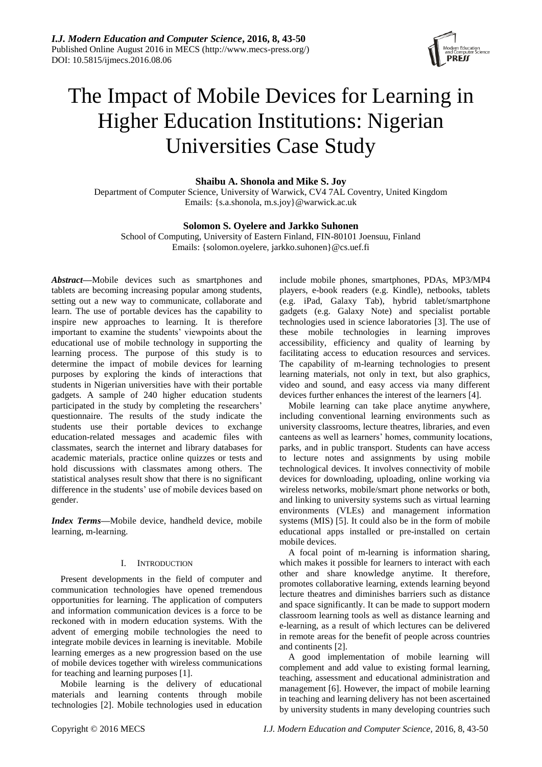

# The Impact of Mobile Devices for Learning in Higher Education Institutions: Nigerian Universities Case Study

# **Shaibu A. Shonola and Mike S. Joy**

Department of Computer Science, University of Warwick, CV4 7AL Coventry, United Kingdom Emails: {s.a.shonola, m.s.joy}@warwick.ac.uk

# **Solomon S. Oyelere and Jarkko Suhonen**

School of Computing, University of Eastern Finland, FIN-80101 Joensuu, Finland Emails: {solomon.oyelere, jarkko.suhonen}@cs.uef.fi

*Abstract***—**Mobile devices such as smartphones and tablets are becoming increasing popular among students, setting out a new way to communicate, collaborate and learn. The use of portable devices has the capability to inspire new approaches to learning. It is therefore important to examine the students' viewpoints about the educational use of mobile technology in supporting the learning process. The purpose of this study is to determine the impact of mobile devices for learning purposes by exploring the kinds of interactions that students in Nigerian universities have with their portable gadgets. A sample of 240 higher education students participated in the study by completing the researchers' questionnaire. The results of the study indicate the students use their portable devices to exchange education-related messages and academic files with classmates, search the internet and library databases for academic materials, practice online quizzes or tests and hold discussions with classmates among others. The statistical analyses result show that there is no significant difference in the students' use of mobile devices based on gender.

*Index Terms—*Mobile device, handheld device, mobile learning, m-learning.

## I. INTRODUCTION

Present developments in the field of computer and communication technologies have opened tremendous opportunities for learning. The application of computers and information communication devices is a force to be reckoned with in modern education systems. With the advent of emerging mobile technologies the need to integrate mobile devices in learning is inevitable. Mobile learning emerges as a new progression based on the use of mobile devices together with wireless communications for teaching and learning purposes [1].

Mobile learning is the delivery of educational materials and learning contents through mobile technologies [2]. Mobile technologies used in education

include mobile phones, smartphones, PDAs, MP3/MP4 players, e-book readers (e.g. Kindle), netbooks, tablets (e.g. iPad, Galaxy Tab), hybrid tablet/smartphone gadgets (e.g. Galaxy Note) and specialist portable technologies used in science laboratories [3]. The use of these mobile technologies in learning improves accessibility, efficiency and quality of learning by facilitating access to education resources and services. The capability of m-learning technologies to present learning materials, not only in text, but also graphics, video and sound, and easy access via many different devices further enhances the interest of the learners [4].

Mobile learning can take place anytime anywhere, including conventional learning environments such as university classrooms, lecture theatres, libraries, and even canteens as well as learners" homes, community locations, parks, and in public transport. Students can have access to lecture notes and assignments by using mobile technological devices. It involves connectivity of mobile devices for downloading, uploading, online working via wireless networks, mobile/smart phone networks or both, and linking to university systems such as virtual learning environments (VLEs) and management information systems (MIS) [5]. It could also be in the form of mobile educational apps installed or pre-installed on certain mobile devices.

A focal point of m-learning is information sharing, which makes it possible for learners to interact with each other and share knowledge anytime. It therefore, promotes collaborative learning, extends learning beyond lecture theatres and diminishes barriers such as distance and space significantly. It can be made to support modern classroom learning tools as well as distance learning and e-learning, as a result of which lectures can be delivered in remote areas for the benefit of people across countries and continents [2].

A good implementation of mobile learning will complement and add value to existing formal learning, teaching, assessment and educational administration and management [6]. However, the impact of mobile learning in teaching and learning delivery has not been ascertained by university students in many developing countries such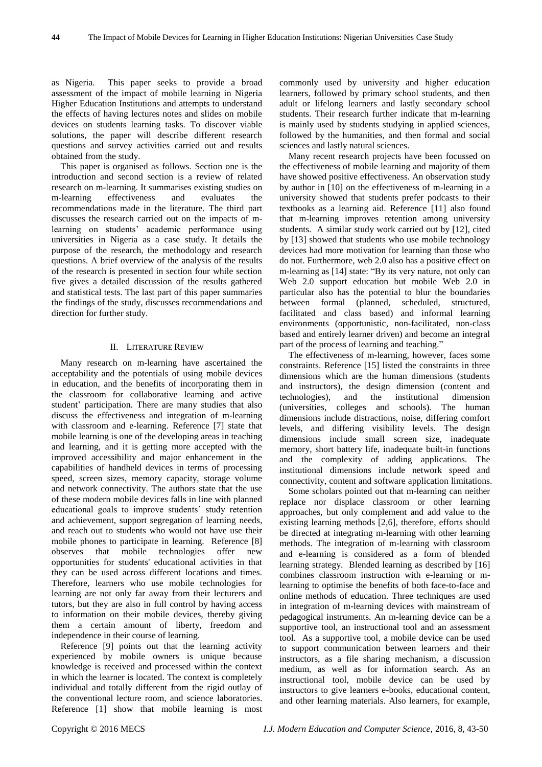as Nigeria. This paper seeks to provide a broad assessment of the impact of mobile learning in Nigeria Higher Education Institutions and attempts to understand the effects of having lectures notes and slides on mobile devices on students learning tasks. To discover viable solutions, the paper will describe different research questions and survey activities carried out and results obtained from the study.

This paper is organised as follows. Section one is the introduction and second section is a review of related research on m-learning. It summarises existing studies on m-learning effectiveness and evaluates the recommendations made in the literature. The third part discusses the research carried out on the impacts of mlearning on students' academic performance using universities in Nigeria as a case study. It details the purpose of the research, the methodology and research questions. A brief overview of the analysis of the results of the research is presented in section four while section five gives a detailed discussion of the results gathered and statistical tests. The last part of this paper summaries the findings of the study, discusses recommendations and direction for further study.

### II. LITERATURE REVIEW

Many research on m-learning have ascertained the acceptability and the potentials of using mobile devices in education, and the benefits of incorporating them in the classroom for collaborative learning and active student" participation. There are many studies that also discuss the effectiveness and integration of m-learning with classroom and e-learning. Reference [7] state that mobile learning is one of the developing areas in teaching and learning, and it is getting more accepted with the improved accessibility and major enhancement in the capabilities of handheld devices in terms of processing speed, screen sizes, memory capacity, storage volume and network connectivity. The authors state that the use of these modern mobile devices falls in line with planned educational goals to improve students' study retention and achievement, support segregation of learning needs, and reach out to students who would not have use their mobile phones to participate in learning. Reference [8] observes that mobile technologies offer new opportunities for students' educational activities in that they can be used across different locations and times. Therefore, learners who use mobile technologies for learning are not only far away from their lecturers and tutors, but they are also in full control by having access to information on their mobile devices, thereby giving them a certain amount of liberty, freedom and independence in their course of learning.

Reference [9] points out that the learning activity experienced by mobile owners is unique because knowledge is received and processed within the context in which the learner is located. The context is completely individual and totally different from the rigid outlay of the conventional lecture room, and science laboratories. Reference [1] show that mobile learning is most

commonly used by university and higher education learners, followed by primary school students, and then adult or lifelong learners and lastly secondary school students. Their research further indicate that m-learning is mainly used by students studying in applied sciences, followed by the humanities, and then formal and social sciences and lastly natural sciences.

Many recent research projects have been focussed on the effectiveness of mobile learning and majority of them have showed positive effectiveness. An observation study by author in [10] on the effectiveness of m-learning in a university showed that students prefer podcasts to their textbooks as a learning aid. Reference [11] also found that m-learning improves retention among university students. A similar study work carried out by [12], cited by [13] showed that students who use mobile technology devices had more motivation for learning than those who do not. Furthermore, web 2.0 also has a positive effect on m-learning as [14] state: "By its very nature, not only can Web 2.0 support education but mobile Web 2.0 in particular also has the potential to blur the boundaries between formal (planned, scheduled, structured, facilitated and class based) and informal learning environments (opportunistic, non-facilitated, non-class based and entirely learner driven) and become an integral part of the process of learning and teaching."

The effectiveness of m-learning, however, faces some constraints. Reference [15] listed the constraints in three dimensions which are the human dimensions (students and instructors), the design dimension (content and technologies), and the institutional dimension (universities, colleges and schools). The human dimensions include distractions, noise, differing comfort levels, and differing visibility levels. The design dimensions include small screen size, inadequate memory, short battery life, inadequate built-in functions and the complexity of adding applications. The institutional dimensions include network speed and connectivity, content and software application limitations.

Some scholars pointed out that m-learning can neither replace nor displace classroom or other learning approaches, but only complement and add value to the existing learning methods [2,6], therefore, efforts should be directed at integrating m-learning with other learning methods. The integration of m-learning with classroom and e-learning is considered as a form of blended learning strategy. Blended learning as described by [16] combines classroom instruction with e-learning or mlearning to optimise the benefits of both face-to-face and online methods of education. Three techniques are used in integration of m-learning devices with mainstream of pedagogical instruments. An m-learning device can be a supportive tool, an instructional tool and an assessment tool. As a supportive tool, a mobile device can be used to support communication between learners and their instructors, as a file sharing mechanism, a discussion medium, as well as for information search. As an instructional tool, mobile device can be used by instructors to give learners e-books, educational content, and other learning materials. Also learners, for example,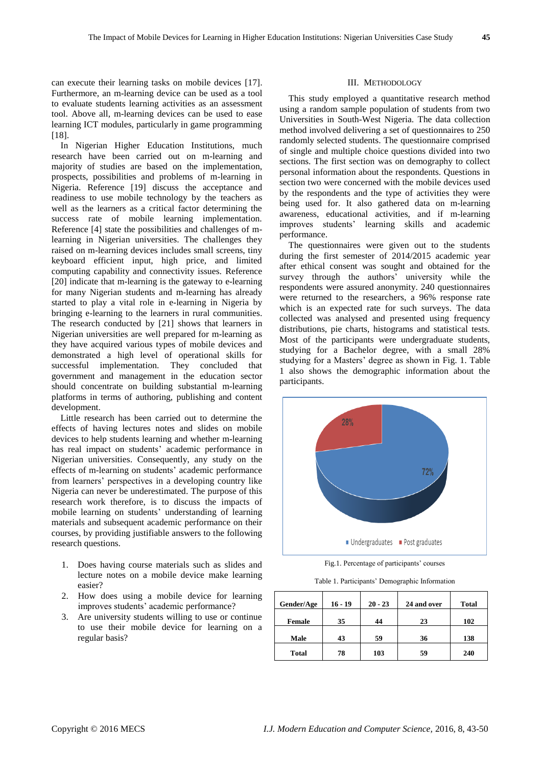can execute their learning tasks on mobile devices [17]. Furthermore, an m-learning device can be used as a tool to evaluate students learning activities as an assessment tool. Above all, m-learning devices can be used to ease learning ICT modules, particularly in game programming [18].

In Nigerian Higher Education Institutions, much research have been carried out on m-learning and majority of studies are based on the implementation, prospects, possibilities and problems of m-learning in Nigeria. Reference [19] discuss the acceptance and readiness to use mobile technology by the teachers as well as the learners as a critical factor determining the success rate of mobile learning implementation. Reference [4] state the possibilities and challenges of mlearning in Nigerian universities. The challenges they raised on m-learning devices includes small screens, tiny keyboard efficient input, high price, and limited computing capability and connectivity issues. Reference [20] indicate that m-learning is the gateway to e-learning for many Nigerian students and m-learning has already started to play a vital role in e-learning in Nigeria by bringing e-learning to the learners in rural communities. The research conducted by [21] shows that learners in Nigerian universities are well prepared for m-learning as they have acquired various types of mobile devices and demonstrated a high level of operational skills for successful implementation. They concluded that government and management in the education sector should concentrate on building substantial m-learning platforms in terms of authoring, publishing and content development.

Little research has been carried out to determine the effects of having lectures notes and slides on mobile devices to help students learning and whether m-learning has real impact on students' academic performance in Nigerian universities. Consequently, any study on the effects of m-learning on students" academic performance from learners" perspectives in a developing country like Nigeria can never be underestimated. The purpose of this research work therefore, is to discuss the impacts of mobile learning on students' understanding of learning materials and subsequent academic performance on their courses, by providing justifiable answers to the following research questions.

- 1. Does having course materials such as slides and lecture notes on a mobile device make learning easier?
- 2. How does using a mobile device for learning improves students' academic performance?
- 3. Are university students willing to use or continue to use their mobile device for learning on a regular basis?

## III. METHODOLOGY

This study employed a quantitative research method using a random sample population of students from two Universities in South-West Nigeria. The data collection method involved delivering a set of questionnaires to 250 randomly selected students. The questionnaire comprised of single and multiple choice questions divided into two sections. The first section was on demography to collect personal information about the respondents. Questions in section two were concerned with the mobile devices used by the respondents and the type of activities they were being used for. It also gathered data on m-learning awareness, educational activities, and if m-learning improves students" learning skills and academic performance.

The questionnaires were given out to the students during the first semester of 2014/2015 academic year after ethical consent was sought and obtained for the survey through the authors' university while the respondents were assured anonymity. 240 questionnaires were returned to the researchers, a 96% response rate which is an expected rate for such surveys. The data collected was analysed and presented using frequency distributions, pie charts, histograms and statistical tests. Most of the participants were undergraduate students, studying for a Bachelor degree, with a small 28% studying for a Masters' degree as shown in Fig. 1. Table 1 also shows the demographic information about the participants.



Fig.1. Percentage of participants' courses

Table 1. Participants" Demographic Information

| Gender/Age    | $16 - 19$ | $20 - 23$ | 24 and over | <b>Total</b> |
|---------------|-----------|-----------|-------------|--------------|
| <b>Female</b> | 35        | 44        | 23          | 102          |
| Male          | 43        | 59        | 36          | 138          |
| <b>Total</b>  | 78        | 103       | 59          | 240          |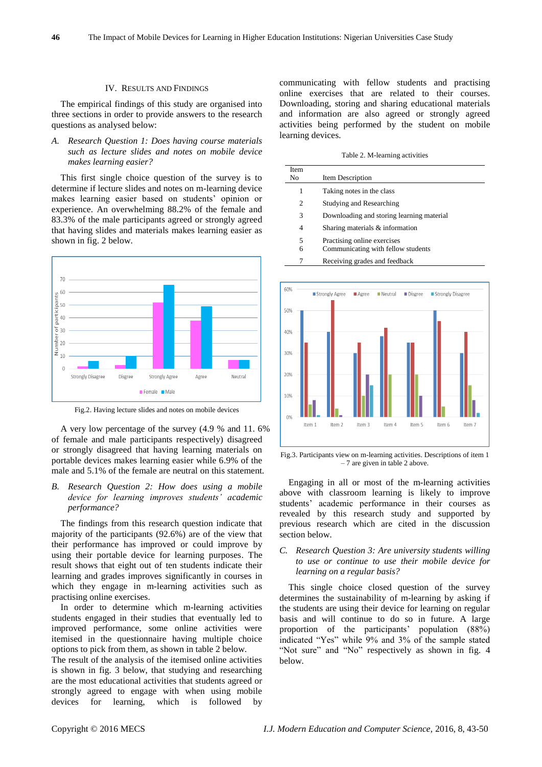#### IV. RESULTS AND FINDINGS

The empirical findings of this study are organised into three sections in order to provide answers to the research questions as analysed below:

## *A. Research Question 1: Does having course materials such as lecture slides and notes on mobile device makes learning easier?*

This first single choice question of the survey is to determine if lecture slides and notes on m-learning device makes learning easier based on students" opinion or experience. An overwhelming 88.2% of the female and 83.3% of the male participants agreed or strongly agreed that having slides and materials makes learning easier as shown in fig. 2 below.



Fig.2. Having lecture slides and notes on mobile devices

A very low percentage of the survey (4.9 % and 11. 6% of female and male participants respectively) disagreed or strongly disagreed that having learning materials on portable devices makes learning easier while 6.9% of the male and 5.1% of the female are neutral on this statement.

*B. Research Question 2: How does using a mobile device for learning improves students' academic performance?*

The findings from this research question indicate that majority of the participants (92.6%) are of the view that their performance has improved or could improve by using their portable device for learning purposes. The result shows that eight out of ten students indicate their learning and grades improves significantly in courses in which they engage in m-learning activities such as practising online exercises.

In order to determine which m-learning activities students engaged in their studies that eventually led to improved performance, some online activities were itemised in the questionnaire having multiple choice options to pick from them, as shown in table 2 below.

The result of the analysis of the itemised online activities is shown in fig. 3 below, that studying and researching are the most educational activities that students agreed or strongly agreed to engage with when using mobile devices for learning, which is followed by

communicating with fellow students and practising online exercises that are related to their courses. Downloading, storing and sharing educational materials and information are also agreed or strongly agreed activities being performed by the student on mobile learning devices.

Table 2. M-learning activities

| Item Description                                                  |
|-------------------------------------------------------------------|
| Taking notes in the class                                         |
| <b>Studying and Researching</b>                                   |
| Downloading and storing learning material                         |
| Sharing materials & information                                   |
| Practising online exercises<br>Communicating with fellow students |
|                                                                   |

7 Receiving grades and feedback



Fig.3. Participants view on m-learning activities. Descriptions of item 1 – 7 are given in table 2 above.

Engaging in all or most of the m-learning activities above with classroom learning is likely to improve students" academic performance in their courses as revealed by this research study and supported by previous research which are cited in the discussion section below.

## *C. Research Question 3: Are university students willing to use or continue to use their mobile device for learning on a regular basis?*

This single choice closed question of the survey determines the sustainability of m-learning by asking if the students are using their device for learning on regular basis and will continue to do so in future. A large proportion of the participants" population (88%) indicated "Yes" while 9% and 3% of the sample stated "Not sure" and "No" respectively as shown in fig. 4 below.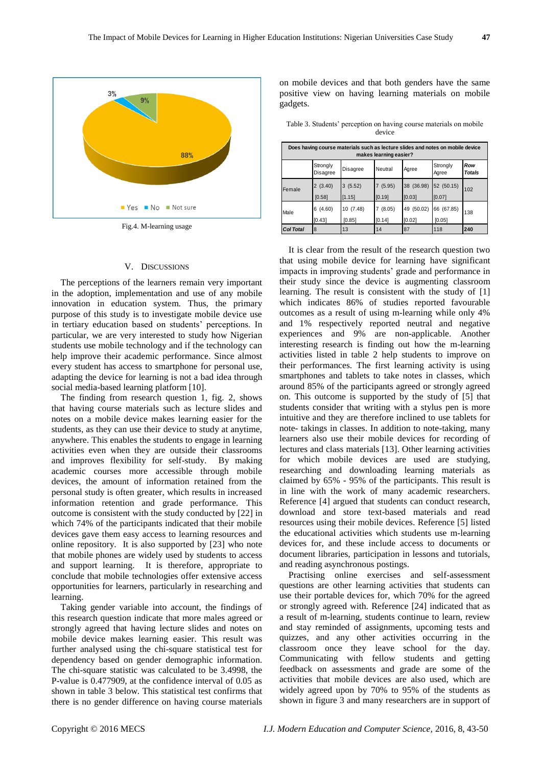

Fig.4. M-learning usage

### V. DISCUSSIONS

The perceptions of the learners remain very important in the adoption, implementation and use of any mobile innovation in education system. Thus, the primary purpose of this study is to investigate mobile device use in tertiary education based on students' perceptions. In particular, we are very interested to study how Nigerian students use mobile technology and if the technology can help improve their academic performance. Since almost every student has access to smartphone for personal use, adapting the device for learning is not a bad idea through social media-based learning platform [10].

The finding from research question 1, fig. 2, shows that having course materials such as lecture slides and notes on a mobile device makes learning easier for the students, as they can use their device to study at anytime, anywhere. This enables the students to engage in learning activities even when they are outside their classrooms and improves flexibility for self-study. By making academic courses more accessible through mobile devices, the amount of information retained from the personal study is often greater, which results in increased information retention and grade performance. This outcome is consistent with the study conducted by [22] in which 74% of the participants indicated that their mobile devices gave them easy access to learning resources and online repository. It is also supported by [23] who note that mobile phones are widely used by students to access and support learning. It is therefore, appropriate to conclude that mobile technologies offer extensive access opportunities for learners, particularly in researching and learning.

Taking gender variable into account, the findings of this research question indicate that more males agreed or strongly agreed that having lecture slides and notes on mobile device makes learning easier. This result was further analysed using the chi-square statistical test for dependency based on gender demographic information. The chi-square statistic was calculated to be 3.4998, the P-value is 0.477909, at the confidence interval of 0.05 as shown in table 3 below. This statistical test confirms that there is no gender difference on having course materials

on mobile devices and that both genders have the same positive view on having learning materials on mobile gadgets.

Table 3. Students" perception on having course materials on mobile device

| Does having course materials such as lecture slides and notes on mobile device<br>makes learning easier? |                       |                    |                   |                         |                         |                      |
|----------------------------------------------------------------------------------------------------------|-----------------------|--------------------|-------------------|-------------------------|-------------------------|----------------------|
|                                                                                                          | Strongly<br>Disagree  | Disagree           | Neutral           | Agree                   | Strongly<br>Agree       | Row<br><b>Totals</b> |
| Female                                                                                                   | 2(3.40)<br>[0.58]     | 3(5.52)<br>[1.15]  | 7(5.95)<br>[0.19] | 38 (36.98)<br>[0.03]    | 52 (50.15)<br>[0.07]    | 102                  |
| Male                                                                                                     | (4.60)<br>6<br>[0.43] | 10(7.48)<br>[0.85] | (8.05)<br>[0.14]  | 49<br>(50.02)<br>[0.02] | (67.85)<br>66<br>[0.05] | 138                  |
| <b>Col Total</b>                                                                                         | 8                     | 13                 | 14                | 87                      | 118                     | 240                  |

It is clear from the result of the research question two that using mobile device for learning have significant impacts in improving students' grade and performance in their study since the device is augmenting classroom learning. The result is consistent with the study of [1] which indicates 86% of studies reported favourable outcomes as a result of using m-learning while only 4% and 1% respectively reported neutral and negative experiences and 9% are non-applicable. Another interesting research is finding out how the m-learning activities listed in table 2 help students to improve on their performances. The first learning activity is using smartphones and tablets to take notes in classes, which around 85% of the participants agreed or strongly agreed on. This outcome is supported by the study of [5] that students consider that writing with a stylus pen is more intuitive and they are therefore inclined to use tablets for note- takings in classes. In addition to note-taking, many learners also use their mobile devices for recording of lectures and class materials [13]. Other learning activities for which mobile devices are used are studying, researching and downloading learning materials as claimed by 65% - 95% of the participants. This result is in line with the work of many academic researchers. Reference [4] argued that students can conduct research, download and store text-based materials and read resources using their mobile devices. Reference [5] listed the educational activities which students use m-learning devices for, and these include access to documents or document libraries, participation in lessons and tutorials, and reading asynchronous postings.

Practising online exercises and self-assessment questions are other learning activities that students can use their portable devices for, which 70% for the agreed or strongly agreed with. Reference [24] indicated that as a result of m-learning, students continue to learn, review and stay reminded of assignments, upcoming tests and quizzes, and any other activities occurring in the classroom once they leave school for the day. Communicating with fellow students and getting feedback on assessments and grade are some of the activities that mobile devices are also used, which are widely agreed upon by 70% to 95% of the students as shown in figure 3 and many researchers are in support of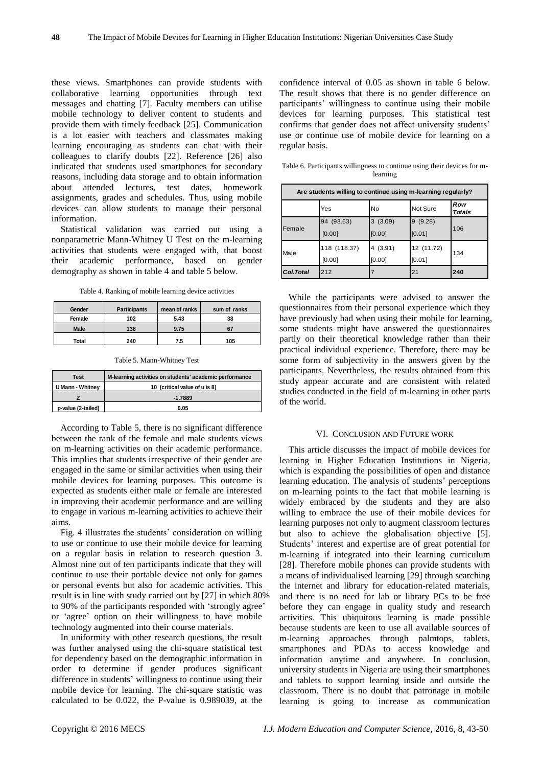these views. Smartphones can provide students with collaborative learning opportunities through text messages and chatting [7]. Faculty members can utilise mobile technology to deliver content to students and provide them with timely feedback [25]. Communication is a lot easier with teachers and classmates making learning encouraging as students can chat with their colleagues to clarify doubts [22]. Reference [26] also indicated that students used smartphones for secondary reasons, including data storage and to obtain information about attended lectures, test dates, homework assignments, grades and schedules. Thus, using mobile devices can allow students to manage their personal information.

Statistical validation was carried out using a nonparametric Mann-Whitney U Test on the m-learning activities that students were engaged with, that boost their academic performance, based on gender demography as shown in table 4 and table 5 below.

Table 4. Ranking of mobile learning device activities

| Gender | <b>Participants</b> | mean of ranks | sum of ranks |
|--------|---------------------|---------------|--------------|
| Female | 102                 | 5.43          | 38           |
| Male   | 138                 | 9.75          | 67           |
| Total  | 240                 | 7.5           | 105          |

Table 5. Mann-Whitney Test

| Test                    | M-learning activities on students' academic performance |  |  |
|-------------------------|---------------------------------------------------------|--|--|
| <b>U Mann - Whitney</b> | 10 (critical value of u is 8)                           |  |  |
|                         | $-1.7889$                                               |  |  |
| p-value (2-tailed)      | 0.05                                                    |  |  |

According to Table 5, there is no significant difference between the rank of the female and male students views on m-learning activities on their academic performance. This implies that students irrespective of their gender are engaged in the same or similar activities when using their mobile devices for learning purposes. This outcome is expected as students either male or female are interested in improving their academic performance and are willing to engage in various m-learning activities to achieve their aims.

Fig. 4 illustrates the students' consideration on willing to use or continue to use their mobile device for learning on a regular basis in relation to research question 3. Almost nine out of ten participants indicate that they will continue to use their portable device not only for games or personal events but also for academic activities. This result is in line with study carried out by [27] in which 80% to 90% of the participants responded with "strongly agree" or "agree" option on their willingness to have mobile technology augmented into their course materials.

In uniformity with other research questions, the result was further analysed using the chi-square statistical test for dependency based on the demographic information in order to determine if gender produces significant difference in students' willingness to continue using their mobile device for learning. The chi-square statistic was calculated to be 0.022, the P-value is 0.989039, at the

confidence interval of 0.05 as shown in table 6 below. The result shows that there is no gender difference on participants' willingness to continue using their mobile devices for learning purposes. This statistical test confirms that gender does not affect university students' use or continue use of mobile device for learning on a regular basis.

Table 6. Participants willingness to continue using their devices for mlearning

| Are students willing to continue using m-learning regularly? |              |         |            |               |  |
|--------------------------------------------------------------|--------------|---------|------------|---------------|--|
|                                                              | Yes          | No      | Not Sure   | Row<br>Totals |  |
| Female                                                       | 94 (93.63)   | 3(3.09) | 9(9.28)    | 106           |  |
|                                                              | [0.00]       | [0.00]  | [0.01]     |               |  |
| Male                                                         | 118 (118.37) | 4(3.91) | 12 (11.72) | 134           |  |
|                                                              | [0.00]       | [0.00]  | [0.01]     |               |  |
| Col.Total                                                    | 212          |         | 21         | 240           |  |

While the participants were advised to answer the questionnaires from their personal experience which they have previously had when using their mobile for learning, some students might have answered the questionnaires partly on their theoretical knowledge rather than their practical individual experience. Therefore, there may be some form of subjectivity in the answers given by the participants. Nevertheless, the results obtained from this study appear accurate and are consistent with related studies conducted in the field of m-learning in other parts of the world.

#### VI. CONCLUSION AND FUTURE WORK

This article discusses the impact of mobile devices for learning in Higher Education Institutions in Nigeria, which is expanding the possibilities of open and distance learning education. The analysis of students' perceptions on m-learning points to the fact that mobile learning is widely embraced by the students and they are also willing to embrace the use of their mobile devices for learning purposes not only to augment classroom lectures but also to achieve the globalisation objective [5]. Students' interest and expertise are of great potential for m-learning if integrated into their learning curriculum [28]. Therefore mobile phones can provide students with a means of individualised learning [29] through searching the internet and library for education-related materials, and there is no need for lab or library PCs to be free before they can engage in quality study and research activities. This ubiquitous learning is made possible because students are keen to use all available sources of m-learning approaches through palmtops, tablets, smartphones and PDAs to access knowledge and information anytime and anywhere. In conclusion, university students in Nigeria are using their smartphones and tablets to support learning inside and outside the classroom. There is no doubt that patronage in mobile learning is going to increase as communication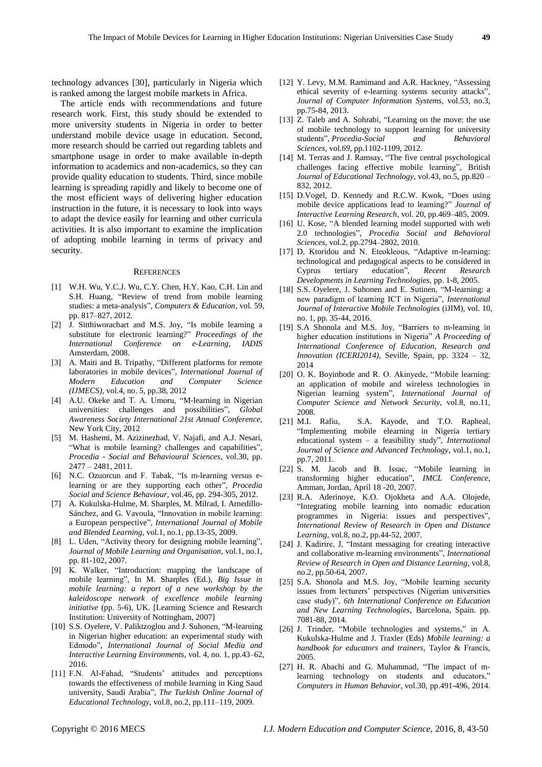technology advances [30], particularly in Nigeria which is ranked among the largest mobile markets in Africa.

The article ends with recommendations and future research work. First, this study should be extended to more university students in Nigeria in order to better understand mobile device usage in education. Second, more research should be carried out regarding tablets and smartphone usage in order to make available in-depth information to academics and non-academics, so they can provide quality education to students. Third, since mobile learning is spreading rapidly and likely to become one of the most efficient ways of delivering higher education instruction in the future, it is necessary to look into ways to adapt the device easily for learning and other curricula activities. It is also important to examine the implication of adopting mobile learning in terms of privacy and security.

#### **REFERENCES**

- [1] W.H. Wu, Y.C.J. Wu, C.Y. Chen, H.Y. Kao, C.H. Lin and S.H. Huang, "Review of trend from mobile learning studies: a meta-analysis", *Computers & Education,* vol. 59, pp. 817–827, 2012.
- [2] J. Sitthiworachart and M.S. Joy, "Is mobile learning a substitute for electronic learning?" *Proceedings of the International Conference on e-Learning, IADIS*  Amsterdam, 2008.
- [3] A. Maiti and B. Tripathy, "Different platforms for remote laboratories in mobile devices", *International Journal of Modern Education and Computer Science (IJMECS),* vol.4, no. 5, pp.38, 2012
- [4] A.U. Okeke and T. A. Umoru, "M-learning in Nigerian universities: challenges and possibilities", *Global Awareness Society International 21st Annual Conference*, New York City, 2012
- [5] M. Hashemi, M. Azizinezhad, V. Najafi, and A.J. Nesari, "What is mobile learning? challenges and capabilities", *Procedia - Social and Behavioural Sciences*, vol.30, pp. 2477 – 2481, 2011.
- [6] N.C. Ozuorcun and F. Tabak, "Is m-learning versus elearning or are they supporting each other", *Procedia Social and Science Behaviour*, vol.46, pp. 294-305, 2012.
- [7] A. Kukulska-Hulme, M. Sharples, M. Milrad, I. Arnedillo-Sánchez, and G. Vavoula, "Innovation in mobile learning: a European perspective", *International Journal of Mobile and Blended Learning,* vol.1, no.1, pp.13-35, 2009.
- [8] L. Uden, "Activity theory for designing mobile learning", *Journal of Mobile Learning and Organisation*, vol.1, no.1, pp. 81-102, 2007.
- [9] K. Walker, "Introduction: mapping the landscape of mobile learning", In M. Sharples (Ed.), *Big Issue in mobile learning: a report of a new workshop by the kaleidoscope network of excellence mobile learning initiative* (pp. 5-6), UK. [Learning Science and Research Institution: University of Nottingham, 2007]
- [10] S.S. Oyelere, V. Paliktzoglou and J. Suhonen, "M-learning" in Nigerian higher education: an experimental study with Edmodo", *International Journal of Social Media and Interactive Learning Environments*, vol. 4, no. 1, pp.43–62, 2016.
- [11] F.N. Al-Fahad, "Students' attitudes and perceptions towards the effectiveness of mobile learning in King Saud university, Saudi Arabia", *The Turkish Online Journal of Educational Technology*, vol.8, no.2, pp.111–119, 2009.
- [12] Y. Levy, M.M. Ramimand and A.R. Hackney, "Assessing ethical severity of e-learning systems security attacks", *Journal of Computer Information Systems*, vol.53, no.3, pp.75-84, 2013.
- [13] Z. Taleb and A. Sohrabi, "Learning on the move: the use of mobile technology to support learning for university students", *Procedia-Social and Behavioral Sciences*, vol.*69*, pp.1102-1109, 2012.
- [14] M. Terras and J. Ramsay, "The five central psychological challenges facing effective mobile learning", British *Journal of Educational Technology,* vol.43, no.5, pp.820 – 832, 2012.
- [15] D.Vogel, D. Kennedy and R.C.W. Kwok, "Does using mobile device applications lead to learning?" *Journal of Interactive Learning Research,* vol. 20, pp.469–485, 2009.
- [16] U. Kose, "A blended learning model supported with web 2.0 technologies", *Procedia Social and Behavioral Sciences,* vol.2, pp.2794–2802, 2010.
- [17] D. Ktoridou and N. Eteokleous, "Adaptive m-learning: technological and pedagogical aspects to be considered in Cyprus tertiary education", *Recent Research Developments in Learning Technologies,* pp. 1-8, 2005.
- [18] S.S. Oyelere, J. Suhonen and E. Sutinen, "M-learning: a new paradigm of learning ICT in Nigeria", *International Journal of Interactive Mobile Technologies* (iJIM), vol. 10, no. 1, pp. 35-44, 2016.
- [19] S.A Shonola and M.S. Joy, "Barriers to m-learning in higher education institutions in Nigeria" *A Proceeding of International Conference of Education, Research and Innovation (ICERI2014),* Seville, Spain, pp. 3324 – 32, 2014
- [20] O. K. Boyinbode and R. O. Akinyede, "Mobile learning: an application of mobile and wireless technologies in Nigerian learning system", *International Journal of Computer Science and Network Security*, vol.8, no.11, 2008.
- [21] M.I. Rafiu, S.A. Kayode, and T.O. Rapheal, "Implementing mobile elearning in Nigeria tertiary educational system – a feasibility study", *International Journal of Science and Advanced Technology*, vol.1, no.1, pp.7, 2011.
- [22] S. M. Jacob and B. Issac, "Mobile learning in transforming higher education", *IMCL Conference,* Amman, Jordan, April 18 -20, 2007.
- [23] R.A. Aderinoye, K.O. Ojokheta and A.A. Olojede, "Integrating mobile learning into nomadic education programmes in Nigeria: issues and perspectives", *International Review of Research in Open and Distance Learning*, vol.8, no.2, pp.44-52, 2007.
- [24] J. Kadirire, J. "Instant messaging for creating interactive and collaborative m-learning environments", *International Review of Research in Open and Distance Learning*, vol.8, no.2, pp.50-64, 2007.
- [25] S.A. Shonola and M.S. Joy, "Mobile learning security issues from lecturers' perspectives (Nigerian universities case study)", *6th International Conference on Education and New Learning Technologies*, Barcelona, Spain. pp. 7081-88, 2014.
- [26] J. Trinder, "Mobile technologies and systems," in A. Kukulska-Hulme and J. Traxler (Eds) *Mobile learning: a handbook for educators and trainers*, Taylor & Francis, 2005.
- [27] H. R. Abachi and G. Muhammad, "The impact of mlearning technology on students and educators," *Computers in Human Behavior,* vol.30, pp.491-496, 2014.